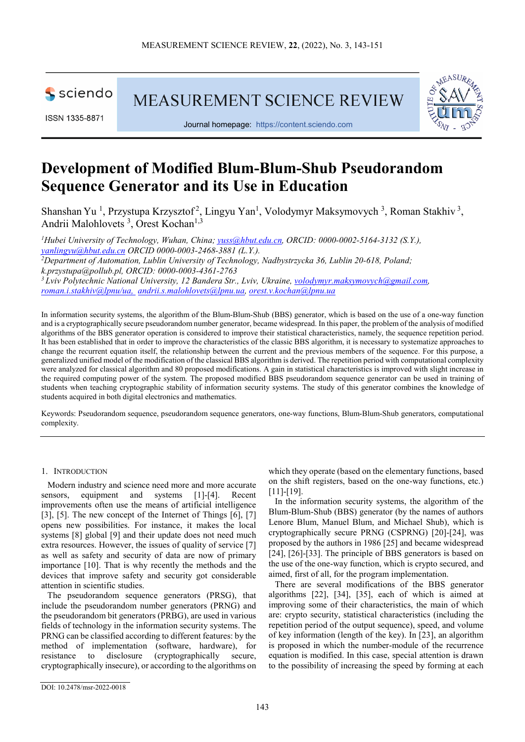

ISSN 1335-8871

MEASUREMENT SCIENCE REVIEW



Journal homepage: [https://content.sciendo.com](https://content.sciendo.com/view/journals/msr/msr-overview.xml)

# **Development of Modified Blum-Blum-Shub Pseudorandom Sequence Generator and its Use in Education**

Shanshan Yu<sup>1</sup>, Przystupa Krzysztof<sup>2</sup>, Lingyu Yan<sup>1</sup>, Volodymyr Maksymovych<sup>3</sup>, Roman Stakhiv<sup>3</sup>, Andrii Malohlovets<sup>3</sup>, Orest Kochan<sup>1,3</sup>

*1 Hubei University of Technology, Wuhan, China; [yuss@hbut.edu.cn,](mailto:yuss@hbut.edu.cn) ORCID: 0000-0002-5164-3132 (S.Y.), [yanlingyu@hbut.edu.cn](mailto:yanlingyu@hbut.edu.cn) ORCID 0000-0003-2468-3881 (L.Y.). 2 Department of Automation, Lublin University of Technology, Nadbystrzycka 36, Lublin 20-618, Poland; k.przystupa@pollub.pl, ORCID: 0000-0003-4361-2763*<br><sup>3</sup> Lyiv Polytechnic National University, 12 Bandera Str., Lyiv, Ukraine, *volodymyr.maksymovych@gmail.com*, *[roman.i.stakhiv@lpnu/ua,](mailto:roman.i.stakhiv@lpnu/ua) [andrii.s.malohlovets@lpnu.ua,](mailto:andrii.s.malohlovets@lpnu.ua) [orest.v.kochan@lpnu.ua](mailto:orest.v.kochan@lpnu.ua)*

In information security systems, the algorithm of the Blum-Blum-Shub (BBS) generator, which is based on the use of a one-way function and is a cryptographically secure pseudorandom number generator, became widespread. In this paper, the problem of the analysis of modified algorithms of the BBS generator operation is considered to improve their statistical characteristics, namely, the sequence repetition period. It has been established that in order to improve the characteristics of the classic BBS algorithm, it is necessary to systematize approaches to change the recurrent equation itself, the relationship between the current and the previous members of the sequence. For this purpose, a generalized unified model of the modification of the classical BBS algorithm is derived. The repetition period with computational complexity were analyzed for classical algorithm and 80 proposed modifications. A gain in statistical characteristics is improved with slight increase in the required computing power of the system. The proposed modified BBS pseudorandom sequence generator can be used in training of students when teaching cryptographic stability of information security systems. The study of this generator combines the knowledge of students acquired in both digital electronics and mathematics.

Keywords: Pseudorandom sequence, pseudorandom sequence generators, one-way functions, Blum-Blum-Shub generators, computational complexity.

# 1. INTRODUCTION

Modern industry and science need more and more accurate sensors, equipment and systems [1]-[4]. Recent improvements often use the means of artificial intelligence [3], [5]. The new concept of the Internet of Things [6], [7] opens new possibilities. For instance, it makes the local systems [8] global [9] and their update does not need much extra resources. However, the issues of quality of service [7] as well as safety and security of data are now of primary importance [10]. That is why recently the methods and the devices that improve safety and security got considerable attention in scientific studies.

The pseudorandom sequence generators (PRSG), that include the pseudorandom number generators (PRNG) and the pseudorandom bit generators (PRBG), are used in various fields of technology in the information security systems. The PRNG can be classified according to different features: by the method of implementation (software, hardware), for resistance to disclosure (cryptographically secure, cryptographically insecure), or according to the algorithms on which they operate (based on the elementary functions, based on the shift registers, based on the one-way functions, etc.) [11]-[19].

In the information security systems, the algorithm of the Blum-Blum-Shub (BBS) generator (by the names of authors Lenore Blum, Manuel Blum, and Michael Shub), which is cryptographically secure PRNG (CSPRNG) [20]-[24], was proposed by the authors in 1986 [25] and became widespread [24], [26]-[33]. The principle of BBS generators is based on the use of the one-way function, which is crypto secured, and aimed, first of all, for the program implementation.

There are several modifications of the BBS generator algorithms [22], [34], [35], each of which is aimed at improving some of their characteristics, the main of which are: crypto security, statistical characteristics (including the repetition period of the output sequence), speed, and volume of key information (length of the key). In [23], an algorithm is proposed in which the number-module of the recurrence equation is modified. In this case, special attention is drawn to the possibility of increasing the speed by forming at each

DOI: 10.2478/msr-2022-0018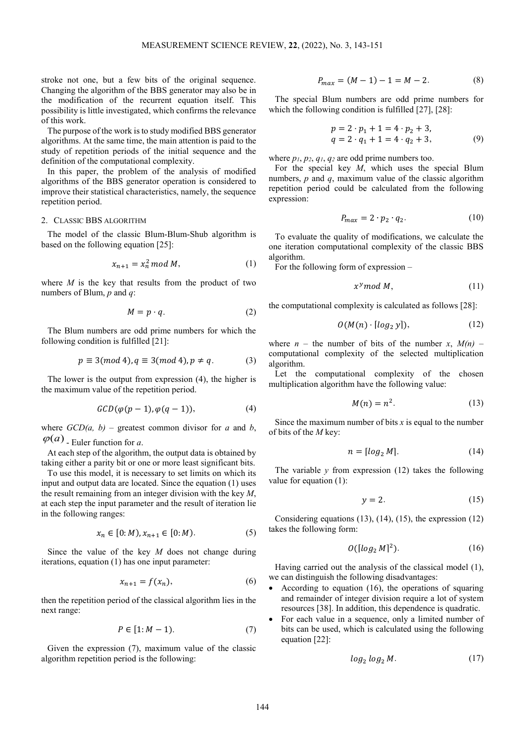stroke not one, but a few bits of the original sequence. Changing the algorithm of the BBS generator may also be in the modification of the recurrent equation itself. This possibility is little investigated, which confirms the relevance of this work.

The purpose of the work is to study modified BBS generator algorithms. At the same time, the main attention is paid to the study of repetition periods of the initial sequence and the definition of the computational complexity.

In this paper, the problem of the analysis of modified algorithms of the BBS generator operation is considered to improve their statistical characteristics, namely, the sequence repetition period.

# 2. CLASSIC BBS ALGORITHM

The model of the classic Blum-Blum-Shub algorithm is based on the following equation [25]:

$$
x_{n+1} = x_n^2 \bmod M,\tag{1}
$$

where *M* is the key that results from the product of two numbers of Blum, *p* and *q*:

$$
M = p \cdot q. \tag{2}
$$

The Blum numbers are odd prime numbers for which the following condition is fulfilled [21]:

$$
p \equiv 3(mod\ 4), q \equiv 3(mod\ 4), p \neq q. \tag{3}
$$

The lower is the output from expression (4), the higher is the maximum value of the repetition period.

$$
GCD(\varphi(p-1), \varphi(q-1)), \qquad (4)
$$

where  $GCD(a, b)$  – greatest common divisor for *a* and *b*,  $\varphi(a)$  - Euler function for *a*.

At each step of the algorithm, the output data is obtained by taking either a parity bit or one or more least significant bits.

To use this model, it is necessary to set limits on which its input and output data are located. Since the equation (1) uses the result remaining from an integer division with the key *M*, at each step the input parameter and the result of iteration lie in the following ranges:

$$
x_n \in [0:M), x_{n+1} \in [0:M). \tag{5}
$$

Since the value of the key *M* does not change during iterations, equation (1) has one input parameter:

$$
x_{n+1} = f(x_n),\tag{6}
$$

then the repetition period of the classical algorithm lies in the next range:

$$
P \in [1: M-1). \tag{7}
$$

Given the expression (7), maximum value of the classic algorithm repetition period is the following:

$$
P_{max} = (M - 1) - 1 = M - 2. \tag{8}
$$

The special Blum numbers are odd prime numbers for which the following condition is fulfilled [27], [28]:

$$
p = 2 \cdot p_1 + 1 = 4 \cdot p_2 + 3,
$$
  
\n
$$
q = 2 \cdot q_1 + 1 = 4 \cdot q_2 + 3,
$$
\n(9)

where *p1*, *p2*, *q1*, *q2* are odd prime numbers too.

For the special key *M*, which uses the special Blum numbers, *p* and *q*, maximum value of the classic algorithm repetition period could be calculated from the following expression:

$$
P_{max} = 2 \cdot p_2 \cdot q_2. \tag{10}
$$

To evaluate the quality of modifications, we calculate the one iteration computational complexity of the classic BBS algorithm.

For the following form of expression –

$$
x^{\gamma} \mod M, \tag{11}
$$

the computational complexity is calculated as follows [28]:

$$
O(M(n) \cdot \lceil \log_2 y \rceil),\tag{12}
$$

where  $n -$  the number of bits of the number  $x$ ,  $M(n)$  – computational complexity of the selected multiplication algorithm.

Let the computational complexity of the chosen multiplication algorithm have the following value:

$$
M(n) = n^2. \tag{13}
$$

Since the maximum number of bits  $x$  is equal to the number of bits of the *M* key:

$$
n = \lceil \log_2 M \rceil. \tag{14}
$$

The variable  $y$  from expression  $(12)$  takes the following value for equation (1):

$$
y = 2.\t(15)
$$

Considering equations (13), (14), (15), the expression (12) takes the following form:

$$
O([log_2 M]^2). \tag{16}
$$

Having carried out the analysis of the classical model (1), we can distinguish the following disadvantages:

- According to equation (16), the operations of squaring and remainder of integer division require a lot of system resources [38]. In addition, this dependence is quadratic.
- For each value in a sequence, only a limited number of bits can be used, which is calculated using the following equation [22]:

$$
\log_2 \log_2 M. \tag{17}
$$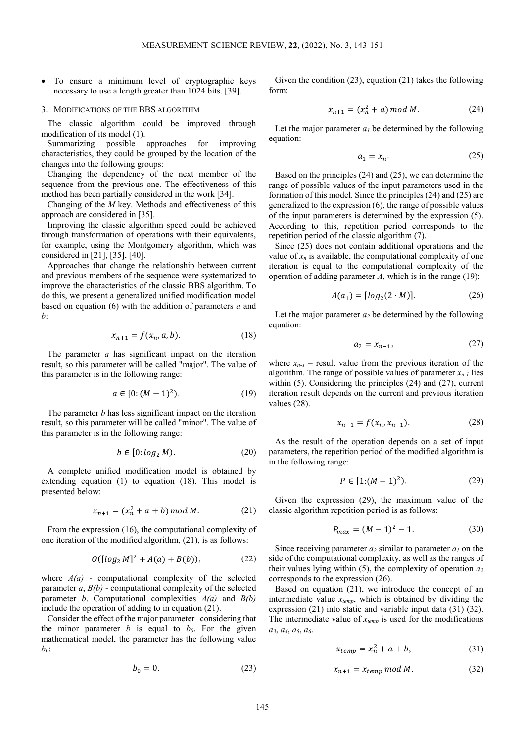• To ensure a minimum level of cryptographic keys necessary to use a length greater than 1024 bits. [39].

#### 3. MODIFICATIONS OF THE BBS ALGORITHM

The classic algorithm could be improved through modification of its model (1).

Summarizing possible approaches for improving characteristics, they could be grouped by the location of the changes into the following groups:

Changing the dependency of the next member of the sequence from the previous one. The effectiveness of this method has been partially considered in the work [34].

Changing of the *М* key. Methods and effectiveness of this approach are considered in [35].

Improving the classic algorithm speed could be achieved through transformation of operations with their equivalents, for example, using the Montgomery algorithm, which was considered in [21], [35], [40].

Approaches that change the relationship between current and previous members of the sequence were systematized to improve the characteristics of the classic BBS algorithm. To do this, we present a generalized unified modification model based on equation (6) with the addition of parameters *a* and *b*:

$$
x_{n+1} = f(x_n, a, b).
$$
 (18)

The parameter *a* has significant impact on the iteration result, so this parameter will be called "major". The value of this parameter is in the following range:

$$
a \in [0: (M-1)^2). \tag{19}
$$

The parameter *b* has less significant impact on the iteration result, so this parameter will be called "minor". The value of this parameter is in the following range:

$$
b \in [0: \log_2 M). \tag{20}
$$

A complete unified modification model is obtained by extending equation (1) to equation (18). This model is presented below:

$$
x_{n+1} = (x_n^2 + a + b) \bmod M. \tag{21}
$$

From the expression (16), the computational complexity of one iteration of the modified algorithm, (21), is as follows:

$$
O([log_2 M]^2 + A(a) + B(b)), \tag{22}
$$

where  $A(a)$  - computational complexity of the selected parameter *a*, *B(b)* - computational complexity of the selected parameter *b*. Computational complexities *A(a)* and *B(b)* include the operation of adding to in equation (21).

Consider the effect of the major parameter considering that the minor parameter  $b$  is equal to  $b_0$ . For the given mathematical model, the parameter has the following value *b0*:

$$
b_0 = 0.\t(23)
$$

Given the condition (23), equation (21) takes the following form:

$$
x_{n+1} = (x_n^2 + a) \bmod M. \tag{24}
$$

Let the major parameter  $a_l$  be determined by the following equation:

$$
a_1 = x_n. \tag{25}
$$

Based on the principles (24) and (25), we can determine the range of possible values of the input parameters used in the formation of this model. Since the principles (24) and (25) are generalized to the expression (6), the range of possible values of the input parameters is determined by the expression (5). According to this, repetition period corresponds to the repetition period of the classic algorithm (7).

Since (25) does not contain additional operations and the value of  $x_n$  is available, the computational complexity of one iteration is equal to the computational complexity of the operation of adding parameter *A*, which is in the range (19):

$$
A(a_1) = [log_2(2 \cdot M)].
$$
 (26)

Let the major parameter  $a_2$  be determined by the following equation:

$$
a_2 = x_{n-1},\tag{27}
$$

where  $x_{n-1}$  – result value from the previous iteration of the algorithm. The range of possible values of parameter  $x_{n-1}$  lies within (5). Considering the principles (24) and (27), current iteration result depends on the current and previous iteration values (28).

$$
x_{n+1} = f(x_n, x_{n-1}).
$$
 (28)

As the result of the operation depends on a set of input parameters, the repetition period of the modified algorithm is in the following range:

$$
P \in [1:(M-1)^2). \tag{29}
$$

Given the expression (29), the maximum value of the classic algorithm repetition period is as follows:

$$
P_{max} = (M-1)^2 - 1.
$$
 (30)

Since receiving parameter  $a_2$  similar to parameter  $a_1$  on the side of the computational complexity, as well as the ranges of their values lying within  $(5)$ , the complexity of operation  $a_2$ corresponds to the expression (26).

Based on equation (21), we introduce the concept of an intermediate value *xtemp*, which is obtained by dividing the expression (21) into static and variable input data (31) (32). The intermediate value of  $x_{temp}$  is used for the modifications *a3*, *a4*, *a5*, *a6*.

$$
x_{temp} = x_n^2 + a + b,\tag{31}
$$

$$
x_{n+1} = x_{temp} \mod M. \tag{32}
$$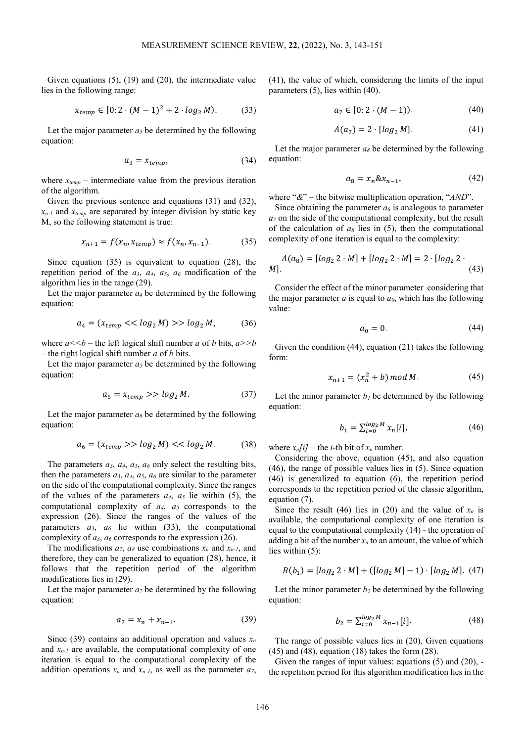Given equations (5), (19) and (20), the intermediate value lies in the following range:

$$
x_{temp} \in [0:2 \cdot (M-1)^2 + 2 \cdot \log_2 M). \tag{33}
$$

Let the major parameter  $a_3$  be determined by the following equation:

$$
a_3 = x_{temp}, \tag{34}
$$

where  $x_{temp}$  – intermediate value from the previous iteration of the algorithm.

Given the previous sentence and equations (31) and (32),  $x_{n-l}$  and  $x_{temp}$  are separated by integer division by static key M, so the following statement is true:

$$
x_{n+1} = f(x_n, x_{temp}) \approx f(x_n, x_{n-1}).
$$
 (35)

Since equation (35) is equivalent to equation (28), the repetition period of the  $a_3$ ,  $a_4$ ,  $a_5$ ,  $a_6$  modification of the algorithm lies in the range (29).

Let the major parameter  $a_4$  be determined by the following equation:

$$
a_4 = (x_{temp} << \log_2 M) >> \log_2 M,\tag{36}
$$

where  $a \leq b$  – the left logical shift number *a* of *b* bits,  $a \geq b$ – the right logical shift number *a* of *b* bits.

Let the major parameter  $a_5$  be determined by the following equation:

$$
a_5 = x_{temp} \gg \log_2 M. \tag{37}
$$

Let the major parameter  $a_6$  be determined by the following equation:

$$
a_6 = (x_{temp} \gg \log_2 M) \ll \log_2 M. \tag{38}
$$

The parameters  $a_3$ ,  $a_4$ ,  $a_5$ ,  $a_6$  only select the resulting bits, then the parameters  $a_3$ ,  $a_4$ ,  $a_5$ ,  $a_6$  are similar to the parameter on the side of the computational complexity. Since the ranges of the values of the parameters  $a_4$ ,  $a_5$  lie within (5), the computational complexity of *a4*, *a5* corresponds to the expression (26). Since the ranges of the values of the parameters  $a_3$ ,  $a_6$  lie within (33), the computational complexity of  $a_3$ ,  $a_6$  corresponds to the expression (26).

The modifications  $a_7$ ,  $a_8$  use combinations  $x_n$  and  $x_{n-1}$ , and therefore, they can be generalized to equation (28), hence, it follows that the repetition period of the algorithm modifications lies in (29).

Let the major parameter  $a_7$  be determined by the following equation:

$$
a_7 = x_n + x_{n-1}.
$$
 (39)

Since (39) contains an additional operation and values  $x_n$ and  $x_{n-1}$  are available, the computational complexity of one iteration is equal to the computational complexity of the addition operations  $x_n$  and  $x_{n-l}$ , as well as the parameter  $a_7$ , (41), the value of which, considering the limits of the input parameters (5), lies within (40).

$$
a_7 \in [0:2 \cdot (M-1)). \tag{40}
$$

$$
A(a_7) = 2 \cdot \lfloor \log_2 M \rfloor. \tag{41}
$$

Let the major parameter  $a_8$  be determined by the following equation:

$$
a_8 = x_n \& x_{n-1}, \tag{42}
$$

where "*&*" – the bitwise multiplication operation, "*AND*".

Since obtaining the parameter  $a_8$  is analogous to parameter *a7* on the side of the computational complexity, but the result of the calculation of  $a_8$  lies in (5), then the computational complexity of one iteration is equal to the complexity:

$$
A(a_8) = [log_2 2 \cdot M] + [log_2 2 \cdot M] = 2 \cdot [log_2 2 \cdot M].
$$
\n(43)

Consider the effect of the minor parameter considering that the major parameter  $a$  is equal to  $a_0$ , which has the following value:

$$
a_0 = 0.\t\t(44)
$$

Given the condition (44), equation (21) takes the following form:

$$
x_{n+1} = (x_n^2 + b) \bmod M. \tag{45}
$$

Let the minor parameter  $b<sub>l</sub>$  be determined by the following equation:

$$
b_1 = \sum_{i=0}^{\log_2 M} x_n[i],\tag{46}
$$

where  $x_n[i]$  – the *i*-th bit of  $x_n$  number.

Considering the above, equation (45), and also equation (46), the range of possible values lies in (5). Since equation (46) is generalized to equation (6), the repetition period corresponds to the repetition period of the classic algorithm, equation (7).

Since the result (46) lies in (20) and the value of  $x_n$  is available, the computational complexity of one iteration is equal to the computational complexity (14) - the operation of adding a bit of the number  $x_n$  to an amount, the value of which lies within (5):

$$
B(b_1) = [log_2 2 \cdot M] + ([log_2 M] - 1) \cdot [log_2 M]. (47)
$$

Let the minor parameter  $b_2$  be determined by the following equation:

$$
b_2 = \sum_{i=0}^{\log_2 M} x_{n-1}[i]. \tag{48}
$$

The range of possible values lies in (20). Given equations (45) and (48), equation (18) takes the form (28).

Given the ranges of input values: equations (5) and (20), the repetition period for this algorithm modification lies in the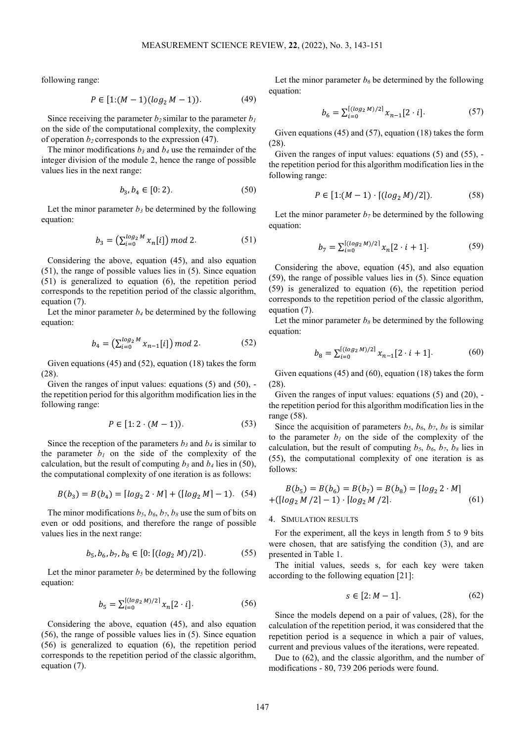following range:

$$
P \in [1:(M-1)(\log_2 M - 1)). \tag{49}
$$

Since receiving the parameter  $b_2$  similar to the parameter  $b_1$ on the side of the computational complexity, the complexity of operation  $b_2$  corresponds to the expression (47).

The minor modifications  $b_3$  and  $b_4$  use the remainder of the integer division of the module 2, hence the range of possible values lies in the next range:

$$
b_3, b_4 \in [0:2). \tag{50}
$$

Let the minor parameter  $b_3$  be determined by the following equation:

$$
b_3 = \left(\sum_{i=0}^{\log_2 M} x_n[i]\right) \text{mod } 2. \tag{51}
$$

Considering the above, equation (45), and also equation (51), the range of possible values lies in (5). Since equation (51) is generalized to equation (6), the repetition period corresponds to the repetition period of the classic algorithm, equation (7).

Let the minor parameter  $b_4$  be determined by the following equation:

$$
b_4 = \left(\sum_{i=0}^{\log_2 M} x_{n-1}[i]\right) \mod 2. \tag{52}
$$

Given equations (45) and (52), equation (18) takes the form (28).

Given the ranges of input values: equations  $(5)$  and  $(50)$ , the repetition period for this algorithm modification lies in the following range:

$$
P \in [1:2 \cdot (M-1)). \tag{53}
$$

Since the reception of the parameters  $b_3$  and  $b_4$  is similar to the parameter  $b_1$  on the side of the complexity of the calculation, but the result of computing  $b_3$  and  $b_4$  lies in (50), the computational complexity of one iteration is as follows:

$$
B(b_3) = B(b_4) = \lfloor \log_2 2 \cdot M \rfloor + (\lfloor \log_2 M \rfloor - 1). \quad (54)
$$

The minor modifications  $b_5$ ,  $b_6$ ,  $b_7$ ,  $b_8$  use the sum of bits on even or odd positions, and therefore the range of possible values lies in the next range:

$$
b_5, b_6, b_7, b_8 \in [0: [(log_2 M)/2]). \tag{55}
$$

Let the minor parameter  $b_5$  be determined by the following equation:

$$
b_5 = \sum_{i=0}^{\lceil (\log_2 M)/2 \rceil} x_n [2 \cdot i]. \tag{56}
$$

Considering the above, equation (45), and also equation (56), the range of possible values lies in (5). Since equation (56) is generalized to equation (6), the repetition period corresponds to the repetition period of the classic algorithm, equation (7).

Let the minor parameter  $b_6$  be determined by the following equation:

$$
b_6 = \sum_{i=0}^{\lceil (\log_2 M)/2 \rceil} x_{n-1} [2 \cdot i]. \tag{57}
$$

Given equations (45) and (57), equation (18) takes the form (28).

Given the ranges of input values: equations (5) and (55), the repetition period for this algorithm modification lies in the following range:

$$
P \in [1:(M-1)\cdot [(log_2 M)/2]). \tag{58}
$$

Let the minor parameter  $b_7$  be determined by the following equation:

$$
b_7 = \sum_{i=0}^{\lceil (\log_2 M)/2 \rceil} x_n [2 \cdot i + 1]. \tag{59}
$$

Considering the above, equation (45), and also equation (59), the range of possible values lies in (5). Since equation (59) is generalized to equation (6), the repetition period corresponds to the repetition period of the classic algorithm, equation  $(7)$ .

Let the minor parameter  $b_8$  be determined by the following equation:

$$
b_8 = \sum_{i=0}^{\left[ (log_2 M)/2 \right]} x_{n-1} [2 \cdot i + 1]. \tag{60}
$$

Given equations (45) and (60), equation (18) takes the form (28).

Given the ranges of input values: equations  $(5)$  and  $(20)$ , the repetition period for this algorithm modification lies in the range (58).

Since the acquisition of parameters  $b_5$ ,  $b_6$ ,  $b_7$ ,  $b_8$  is similar to the parameter  $b_1$  on the side of the complexity of the calculation, but the result of computing  $b_5$ ,  $b_6$ ,  $b_7$ ,  $b_8$  lies in (55), the computational complexity of one iteration is as follows:

$$
B(b_5) = B(b_6) = B(b_7) = B(b_8) = \lfloor \log_2 2 \cdot M \rfloor
$$
  
+
$$
(\lfloor \log_2 M / 2 \rfloor - 1) \cdot \lfloor \log_2 M / 2 \rfloor.
$$
 (61)

### 4. SIMULATION RESULTS

For the experiment, all the keys in length from 5 to 9 bits were chosen, that are satisfying the condition (3), and are presented in Table 1.

The initial values, seeds s, for each key were taken according to the following equation [21]:

$$
s\in [2\hspace{-0.15cm}: M-1].\hspace{2.5cm} (62)
$$

Since the models depend on a pair of values, (28), for the calculation of the repetition period, it was considered that the repetition period is a sequence in which a pair of values, current and previous values of the iterations, were repeated.

Due to (62), and the classic algorithm, and the number of modifications - 80, 739 206 periods were found.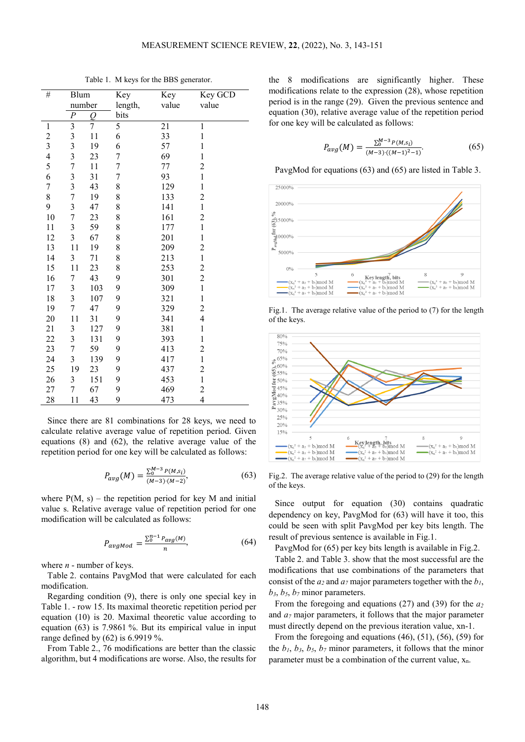| $\#$                     | Blum                    |                | Key            | Key   | Key GCD                 |
|--------------------------|-------------------------|----------------|----------------|-------|-------------------------|
|                          | number                  |                | length,        | value | value                   |
|                          | $\boldsymbol{P}$        | O              | bits           |       |                         |
| $\mathbf{1}$             | $\overline{\mathbf{3}}$ | $\overline{7}$ | 5              | 21    | $\mathbf{1}$            |
|                          |                         | 11             | 6              | 33    | $\mathbf{1}$            |
| $\frac{2}{3}$            | $\frac{3}{3}$           | 19             | 6              | 57    | $\mathbf{1}$            |
| $\overline{\mathcal{L}}$ | $\overline{\mathbf{3}}$ | 23             | 7              | 69    | $\mathbf{1}$            |
| 5                        | $\overline{7}$          | 11             | $\overline{7}$ | 77    | $\overline{c}$          |
| 6                        | 3                       | 31             | $\overline{7}$ | 93    | $\mathbf{1}$            |
| $\boldsymbol{7}$         | $\overline{\mathbf{3}}$ | 43             | 8              | 129   | $\mathbf{1}$            |
| 8                        | $\overline{7}$          | 19             | 8              | 133   | $\overline{\mathbf{c}}$ |
| 9                        | $\overline{3}$          | 47             | 8              | 141   | $\mathbf{1}$            |
| 10                       | $\overline{7}$          | 23             | 8              | 161   | $\overline{c}$          |
| 11                       | 3                       | 59             | 8              | 177   | $\mathbf{1}$            |
| 12                       | $\overline{\mathbf{3}}$ | 67             | 8              | 201   | $\mathbf{1}$            |
| 13                       | 11                      | 19             | 8              | 209   | $\overline{c}$          |
| 14                       | 3                       | 71             | 8              | 213   | $\mathbf{1}$            |
| 15                       | 11                      | 23             | 8              | 253   | $\overline{c}$          |
| 16                       | 7                       | 43             | 9              | 301   | $\overline{c}$          |
| 17                       | 3                       | 103            | 9              | 309   | $\mathbf{1}$            |
| 18                       | $\overline{\mathbf{3}}$ | 107            | 9              | 321   | $\mathbf{1}$            |
| 19                       | $\overline{7}$          | 47             | 9              | 329   | $\overline{c}$          |
| 20                       | 11                      | 31             | 9              | 341   | $\overline{4}$          |
| 21                       | $\overline{\mathbf{3}}$ | 127            | 9              | 381   | $\mathbf{1}$            |
| 22                       | 3                       | 131            | 9              | 393   | $\mathbf{1}$            |
| 23                       | $\overline{7}$          | 59             | 9              | 413   | $\overline{c}$          |
| 24                       | $\overline{\mathbf{3}}$ | 139            | 9              | 417   | $\mathbf{1}$            |
| 25                       | 19                      | 23             | 9              | 437   | $\overline{c}$          |
| 26                       | 3                       | 151            | 9              | 453   | $\mathbf{1}$            |
| 27                       | 7                       | 67             | 9              | 469   | $\overline{c}$          |
| 28                       | 11                      | 43             | 9              | 473   | $\overline{4}$          |

Table 1. M keys for the BBS generator.

Since there are 81 combinations for 28 keys, we need to calculate relative average value of repetition period. Given equations (8) and (62), the relative average value of the repetition period for one key will be calculated as follows:

$$
P_{avg}(M) = \frac{\sum_{0}^{M-3} P(M, s_i)}{(M-3) \cdot (M-2)},
$$
\n(63)

where  $P(M, s)$  – the repetition period for key M and initial value s. Relative average value of repetition period for one modification will be calculated as follows:

$$
P_{avgMod} = \frac{\sum_{0}^{n-1} P_{avg}(M)}{n},\tag{64}
$$

where *n* - number of keys.

Table 2. contains PavgMod that were calculated for each modification.

Regarding condition (9), there is only one special key in Table 1. - row 15. Its maximal theoretic repetition period per equation (10) is 20. Maximal theoretic value according to equation (63) is 7.9861 %. But its empirical value in input range defined by (62) is 6.9919 %.

From Table 2., 76 modifications are better than the classic algorithm, but 4 modifications are worse. Also, the results for the 8 modifications are significantly higher. These modifications relate to the expression (28), whose repetition period is in the range (29). Given the previous sentence and equation (30), relative average value of the repetition period for one key will be calculated as follows:

$$
P_{avg}(M) = \frac{\sum_{0}^{M-3} P(M, s_i)}{(M-3) \cdot ((M-1)^2 - 1)}.
$$
\n(65)

PavgMod for equations (63) and (65) are listed in Table 3.



Fig.1. The average relative value of the period to (7) for the length of the keys.



Fig.2. The average relative value of the period to (29) for the length of the keys.

Since output for equation (30) contains quadratic dependency on key, PavgMod for (63) will have it too, this could be seen with split PavgMod per key bits length. The result of previous sentence is available in Fig.1.

PavgMod for (65) per key bits length is available in Fig.2.

Table 2. and Table 3. show that the most successful are the modifications that use combinations of the parameters that consist of the  $a_2$  and  $a_7$  major parameters together with the  $b_1$ ,  $b_3$ ,  $b_5$ ,  $b_7$  minor parameters.

From the foregoing and equations (27) and (39) for the *a2* and *a7* major parameters, it follows that the major parameter must directly depend on the previous iteration value, xn-1.

From the foregoing and equations (46), (51), (56), (59) for the  $b_1$ ,  $b_3$ ,  $b_5$ ,  $b_7$  minor parameters, it follows that the minor parameter must be a combination of the current value,  $x_n$ .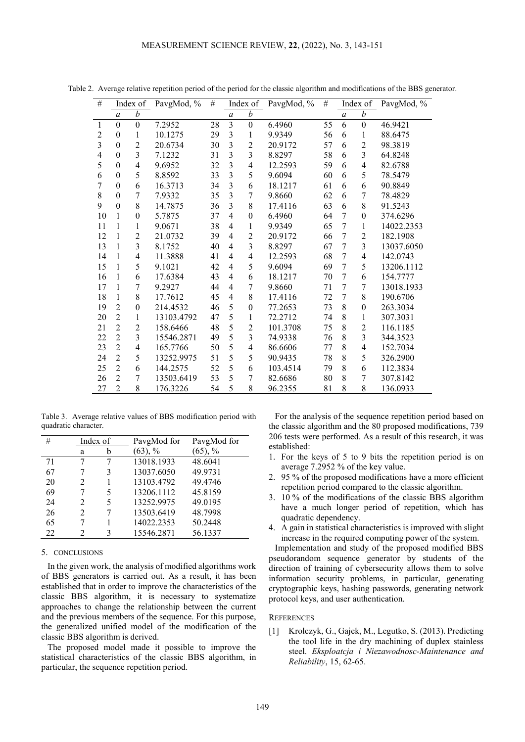| $\#$           |                  | Index of       | PavgMod, % | #  | Index of                |                  | PavgMod, % | #  | Index of         |                  | PavgMod, % |
|----------------|------------------|----------------|------------|----|-------------------------|------------------|------------|----|------------------|------------------|------------|
|                | $\boldsymbol{a}$ | b              |            |    | $\boldsymbol{a}$        | b                |            |    | $\boldsymbol{a}$ | b                |            |
| 1              | $\mathbf{0}$     | $\overline{0}$ | 7.2952     | 28 | $\overline{\mathbf{3}}$ | $\overline{0}$   | 6.4960     | 55 | 6                | $\mathbf{0}$     | 46.9421    |
| $\overline{2}$ | $\overline{0}$   | 1              | 10.1275    | 29 | 3                       | 1                | 9.9349     | 56 | 6                | 1                | 88.6475    |
| 3              | $\theta$         | $\overline{c}$ | 20.6734    | 30 | $\overline{3}$          | $\overline{c}$   | 20.9172    | 57 | 6                | $\overline{c}$   | 98.3819    |
| 4              | $\boldsymbol{0}$ | $\overline{3}$ | 7.1232     | 31 | $\overline{3}$          | $\overline{3}$   | 8.8297     | 58 | 6                | 3                | 64.8248    |
| 5              | $\theta$         | $\overline{4}$ | 9.6952     | 32 | $\overline{3}$          | $\overline{4}$   | 12.2593    | 59 | 6                | 4                | 82.6788    |
| 6              | $\theta$         | 5              | 8.8592     | 33 | 3                       | 5                | 9.6094     | 60 | 6                | 5                | 78.5479    |
| 7              | $\theta$         | 6              | 16.3713    | 34 | $\overline{3}$          | 6                | 18.1217    | 61 | 6                | 6                | 90.8849    |
| 8              | $\theta$         | $\overline{7}$ | 7.9332     | 35 | $\overline{3}$          | $\overline{7}$   | 9.8660     | 62 | 6                | 7                | 78.4829    |
| 9              | $\theta$         | 8              | 14.7875    | 36 | $\overline{3}$          | 8                | 17.4116    | 63 | 6                | 8                | 91.5243    |
| 10             | 1                | $\theta$       | 5.7875     | 37 | $\overline{4}$          | $\overline{0}$   | 6.4960     | 64 | 7                | $\theta$         | 374.6296   |
| 11             | 1                | 1              | 9.0671     | 38 | $\overline{4}$          | $\mathbf{1}$     | 9.9349     | 65 | 7                | 1                | 14022.2353 |
| 12             | 1                | $\overline{c}$ | 21.0732    | 39 | $\overline{4}$          | $\overline{c}$   | 20.9172    | 66 | 7                | $\overline{2}$   | 182.1908   |
| 13             | 1                | 3              | 8.1752     | 40 | $\overline{4}$          | 3                | 8.8297     | 67 | 7                | 3                | 13037.6050 |
| 14             | 1                | $\overline{4}$ | 11.3888    | 41 | $\overline{4}$          | $\overline{4}$   | 12.2593    | 68 | 7                | $\overline{4}$   | 142.0743   |
| 15             | 1                | 5              | 9.1021     | 42 | $\overline{4}$          | 5                | 9.6094     | 69 | 7                | 5                | 13206.1112 |
| 16             | 1                | 6              | 17.6384    | 43 | $\overline{4}$          | 6                | 18.1217    | 70 | 7                | 6                | 154.7777   |
| 17             | 1                | 7              | 9.2927     | 44 | $\overline{4}$          | 7                | 9.8660     | 71 | 7                | 7                | 13018.1933 |
| 18             | 1                | 8              | 17.7612    | 45 | $\overline{4}$          | 8                | 17.4116    | 72 | 7                | 8                | 190.6706   |
| 19             | $\overline{2}$   | $\theta$       | 214.4532   | 46 | 5                       | $\boldsymbol{0}$ | 77.2653    | 73 | 8                | $\boldsymbol{0}$ | 263.3034   |
| 20             | $\overline{2}$   | 1              | 13103.4792 | 47 | 5                       | 1                | 72.2712    | 74 | 8                | 1                | 307.3031   |
| 21             | $\overline{2}$   | $\overline{2}$ | 158.6466   | 48 | 5                       | $\overline{2}$   | 101.3708   | 75 | 8                | $\overline{2}$   | 116.1185   |
| 22             | $\overline{2}$   | $\overline{3}$ | 15546.2871 | 49 | 5                       | 3                | 74.9338    | 76 | 8                | $\overline{3}$   | 344.3523   |
| 23             | $\overline{2}$   | $\overline{4}$ | 165.7766   | 50 | 5                       | $\overline{4}$   | 86.6606    | 77 | 8                | 4                | 152.7034   |
| 24             | $\overline{2}$   | 5              | 13252.9975 | 51 | 5                       | 5                | 90.9435    | 78 | 8                | 5                | 326.2900   |
| 25             | $\overline{2}$   | 6              | 144.2575   | 52 | 5                       | 6                | 103.4514   | 79 | 8                | 6                | 112.3834   |
| 26             | $\overline{2}$   | 7              | 13503.6419 | 53 | 5                       | 7                | 82.6686    | 80 | 8                | 7                | 307.8142   |
| 27             | $\overline{2}$   | 8              | 176.3226   | 54 | 5                       | 8                | 96.2355    | 81 | 8                | 8                | 136.0933   |

Table 2. Average relative repetition period of the period for the classic algorithm and modifications of the BBS generator.

Table 3. Average relative values of BBS modification period with quadratic character.

| #  | Index of                    |   | PavgMod for | PavgMod for |
|----|-----------------------------|---|-------------|-------------|
|    | a                           |   | $(63)$ , %  | $(65)$ , %  |
| 71 |                             |   | 13018.1933  | 48.6041     |
| 67 |                             | 3 | 13037.6050  | 49.9731     |
| 20 | $\mathcal{D}_{\mathcal{L}}$ |   | 13103.4792  | 49.4746     |
| 69 |                             | 5 | 13206.1112  | 45.8159     |
| 24 | 2                           | 5 | 13252.9975  | 49.0195     |
| 26 | $\mathcal{D}_{\mathcal{L}}$ | 7 | 13503.6419  | 48.7998     |
| 65 |                             |   | 14022.2353  | 50.2448     |
| 22 | 2                           | 3 | 15546.2871  | 56.1337     |

# 5. CONCLUSIONS

In the given work, the analysis of modified algorithms work of BBS generators is carried out. As a result, it has been established that in order to improve the characteristics of the classic BBS algorithm, it is necessary to systematize approaches to change the relationship between the current and the previous members of the sequence. For this purpose, the generalized unified model of the modification of the classic BBS algorithm is derived.

The proposed model made it possible to improve the statistical characteristics of the classic BBS algorithm, in particular, the sequence repetition period.

For the analysis of the sequence repetition period based on the classic algorithm and the 80 proposed modifications, 739 206 tests were performed. As a result of this research, it was established:

- 1. For the keys of 5 to 9 bits the repetition period is on average 7.2952 % of the key value.
- 2. 95 % of the proposed modifications have a more efficient repetition period compared to the classic algorithm.
- 3. 10 % of the modifications of the classic BBS algorithm have a much longer period of repetition, which has quadratic dependency.
- 4. A gain in statistical characteristics is improved with slight increase in the required computing power of the system.

Implementation and study of the proposed modified BBS pseudorandom sequence generator by students of the direction of training of cybersecurity allows them to solve information security problems, in particular, generating cryptographic keys, hashing passwords, generating network protocol keys, and user authentication.

# **REFERENCES**

[1] Krolczyk, G., Gajek, M., Legutko, S. (2013). Predicting the tool life in the dry machining of duplex stainless steel. *Eksploatcja i Niezawodnosc-Maintenance and Reliability*, 15, 62-65.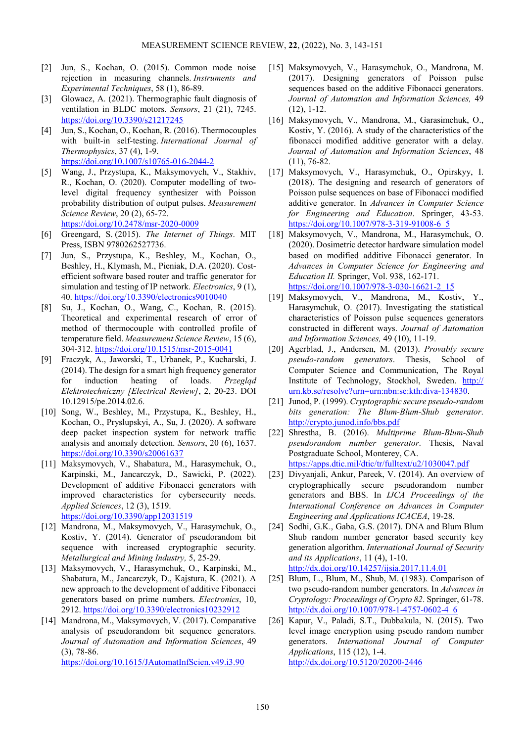- [2] Jun, S., Kochan, O. (2015). Common mode noise rejection in measuring channels. *Instruments and Experimental Techniques*, 58 (1), 86-89.
- [3] Glowacz, A. (2021). Thermographic fault diagnosis of ventilation in BLDC motors. *Sensors*, 21 (21), 7245. <https://doi.org/10.3390/s21217245>
- [4] Jun, S., Kochan, O., Kochan, R. (2016). Thermocouples with built-in self-testing. *International Journal of Thermophysics*, 37 (4), 1-9. <https://doi.org/10.1007/s10765-016-2044-2>
- [5] Wang, J., Przystupa, K., Maksymovych, V., Stakhiv, R., Kochan, O. (2020). Computer modelling of twolevel digital frequency synthesizer with Poisson probability distribution of output pulses. *Measurement Science Review*, 20 (2), 65-72. <https://doi.org/10.2478/msr-2020-0009>
- [6] Greengard, S. (2015). *The Internet of Things*. MIT Press, ISBN 9780262527736.
- [7] Jun, S., Przystupa, K., Beshley, M., Kochan, O., Beshley, H., Klymash, M., Pieniak, D.A. (2020). Costefficient software based router and traffic generator for simulation and testing of IP network. *Electronics*, 9 (1), 40[. https://doi.org/10.3390/electronics9010040](https://doi.org/10.3390/electronics9010040)
- [8] Su, J., Kochan, O., Wang, C., Kochan, R. (2015). Theoretical and experimental research of error of method of thermocouple with controlled profile of temperature field. *Measurement Science Review*, 15 (6), 304-312. <https://doi.org/10.1515/msr-2015-0041>
- [9] Fraczyk, A., Jaworski, T., Urbanek, P., Kucharski, J. (2014). The design for a smart high frequency generator for induction heating of loads. *Przegląd Elektrotechniczny [Electrical Review]*, 2, 20-23. DOI 10.12915/pe.2014.02.6.
- [10] Song, W., Beshley, M., Przystupa, K., Beshley, H., Kochan, O., Pryslupskyi, A., Su, J. (2020). A software deep packet inspection system for network traffic analysis and anomaly detection. *Sensors*, 20 (6), 1637. <https://doi.org/10.3390/s20061637>
- [11] Maksymovych, V., Shabatura, M., Harasymchuk, O., Karpinski, M., Jancarczyk, D., Sawicki, P. (2022). Development of additive Fibonacci generators with improved characteristics for cybersecurity needs. *Applied Sciences*, 12 (3), 1519. <https://doi.org/10.3390/app12031519>
- [12] Mandrona, M., Maksymovych, V., Harasymchuk, O., Kostiv, Y. (2014). Generator of pseudorandom bit sequence with increased cryptographic security. *Metallurgical and Mining Industry,* 5, 25-29.
- [13] Maksymovych, V., Harasymchuk, O., Karpinski, M., Shabatura, M., Jancarczyk, D., Kajstura, K. (2021). A new approach to the development of additive Fibonacci generators based on prime numbers. *Electronics*, 10, 2912. <https://doi.org/10.3390/electronics10232912>
- [14] Mandrona, M., Maksymovych, V. (2017). Comparative analysis of pseudorandom bit sequence generators. *Journal of Automation and Information Sciences*, 49 (3), 78-86. <https://doi.org/10.1615/JAutomatInfScien.v49.i3.90>
- [15] Maksymovych, V., Harasymchuk, O., Mandrona, M. (2017). Designing generators of Poisson pulse sequences based on the additive Fibonacci generators. *Journal of Automation and Information Sciences,* 49 (12), 1-12.
- [16] Maksymovych, V., Mandrona, M., Garasimchuk, O., Kostiv, Y. (2016). A study of the characteristics of the fibonacci modified additive generator with a delay. *Journal of Automation and Information Sciences*, 48 (11), 76-82.
- [17] Maksymovych, V., Harasymchuk, O., Opirskyy, I. (2018). The designing and research of generators of Poisson pulse sequences on base of Fibonacci modified additive generator. In *Advances in Computer Science for Engineering and Education*. Springer, 43-53. [https://doi.org/10.1007/978-3-319-91008-6\\_5](https://doi.org/10.1007/978-3-319-91008-6_5)
- [18] Maksymovych, V., Mandrona, M., Harasymchuk, O. (2020). Dosimetric detector hardware simulation model based on modified additive Fibonacci generator. In *Advances in Computer Science for Engineering and Education II.* Springer, Vol. 938, 162-171. [https://doi.org/10.1007/978-3-030-16621-2\\_15](https://doi.org/10.1007/978-3-030-16621-2_15)
- [19] Maksymovych, V., Mandrona, M., Kostiv, Y., Harasymchuk, O. (2017). Investigating the statistical characteristics of Poisson pulse sequences generators constructed in different ways. *Journal of Automation and Information Sciences,* 49 (10), 11-19.
- [20] Agerblad, J., Andersen, M. (2013). *Provably secure pseudo-random generators*. Thesis, School of Computer Science and Communication, The Royal Institute of Technology, Stockhol, Sweden. [http://](http://urn.kb.se/resolve?urn=urn:nbn:se:kth:diva-134830) [urn.kb.se/resolve?urn=urn:nbn:se:kth:diva-134830.](http://urn.kb.se/resolve?urn=urn:nbn:se:kth:diva-134830)
- [21] Junod, P. (1999). *Cryptographic secure pseudo-random bits generation: The Blum-Blum-Shub generator*. <http://crypto.junod.info/bbs.pdf>
- [22] Shrestha, B. (2016). *Multiprime Blum-Blum-Shub pseudorandom number generator*. Thesis, Naval Postgraduate School, Monterey, CA. <https://apps.dtic.mil/dtic/tr/fulltext/u2/1030047.pdf>
- [23] Divyanjali, Ankur, Pareek, V. (2014). An overview of cryptographically secure pseudorandom number generators and BBS. In *IJCA Proceedings of the International Conference on Advances in Computer Engineering and Applications ICACEA*, 19-28.
- [24] Sodhi, G.K., Gaba, G.S. (2017). DNA and Blum Blum Shub random number generator based security key generation algorithm. *International Journal of Security and its Applications*, 11 (4), 1-10. <http://dx.doi.org/10.14257/ijsia.2017.11.4.01>
- [25] Blum, L., Blum, M., Shub, M. (1983). Comparison of two pseudo-random number generators. In *Advances in Cryptology: Proceedings of Crypto 82*. Springer, 61-78. [http://dx.doi.org/10.1007/978-1-4757-0602-4\\_6](http://dx.doi.org/10.1007/978-1-4757-0602-4_6)
- [26] Kapur, V., Paladi, S.T., Dubbakula, N. (2015). Two level image encryption using pseudo random number generators. *International Journal of Computer Applications*, 115 (12), 1-4. <http://dx.doi.org/10.5120/20200-2446>